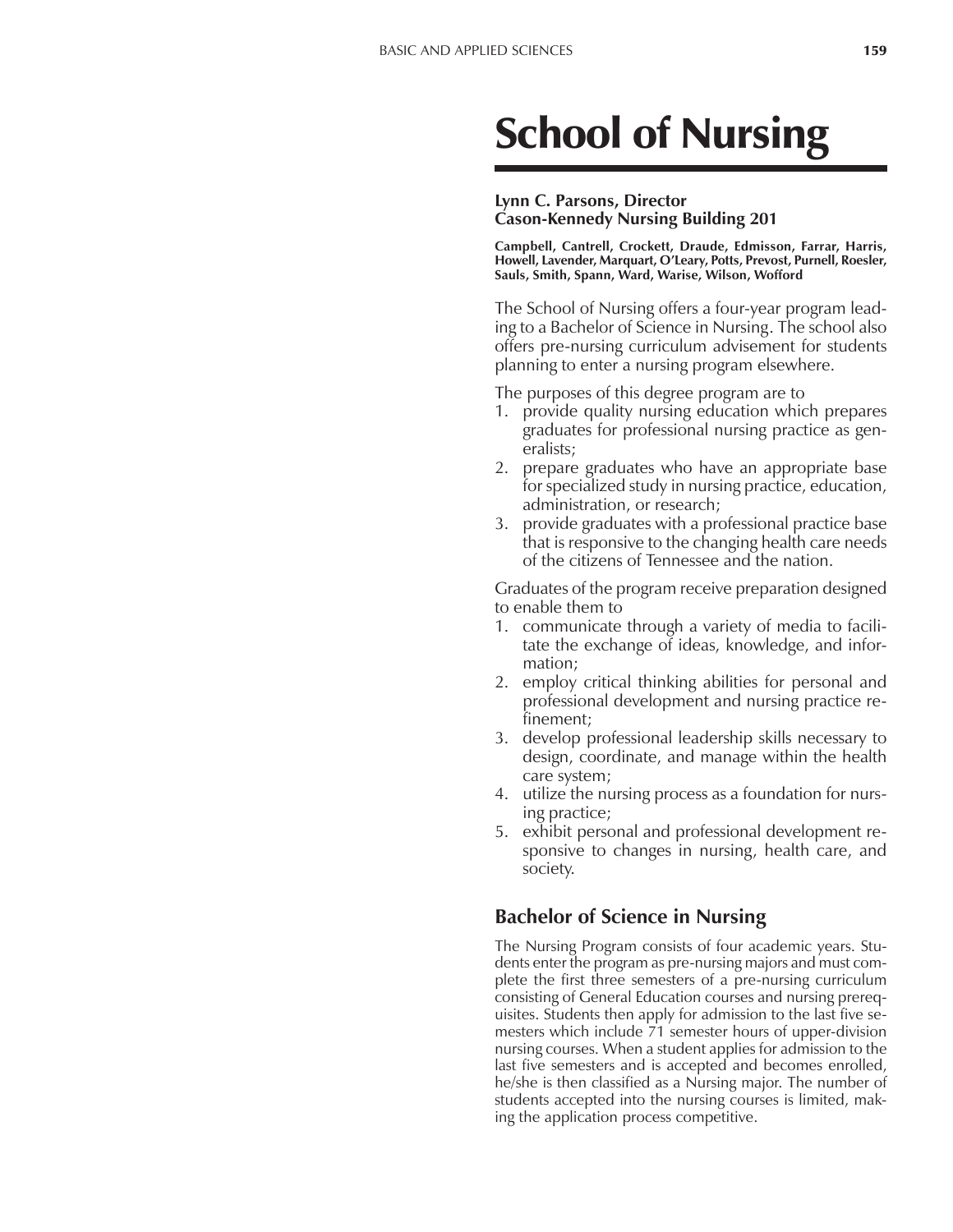# School of Nursing

#### **Lynn C. Parsons, Director Cason-Kennedy Nursing Building 201**

**Campbell, Cantrell, Crockett, Draude, Edmisson, Farrar, Harris, Howell, Lavender, Marquart, OíLeary, Potts, Prevost, Purnell, Roesler, Sauls, Smith, Spann, Ward, Warise, Wilson, Wofford**

The School of Nursing offers a four-year program leading to a Bachelor of Science in Nursing. The school also offers pre-nursing curriculum advisement for students planning to enter a nursing program elsewhere.

The purposes of this degree program are to

- 1. provide quality nursing education which prepares graduates for professional nursing practice as generalists;
- 2. prepare graduates who have an appropriate base for specialized study in nursing practice, education, administration, or research;
- 3. provide graduates with a professional practice base that is responsive to the changing health care needs of the citizens of Tennessee and the nation.

Graduates of the program receive preparation designed to enable them to

- 1. communicate through a variety of media to facilitate the exchange of ideas, knowledge, and information;
- 2. employ critical thinking abilities for personal and professional development and nursing practice refinement;
- 3. develop professional leadership skills necessary to design, coordinate, and manage within the health care system;
- 4. utilize the nursing process as a foundation for nursing practice;
- 5. exhibit personal and professional development responsive to changes in nursing, health care, and society.

# **Bachelor of Science in Nursing**

The Nursing Program consists of four academic years. Students enter the program as pre-nursing majors and must complete the first three semesters of a pre-nursing curriculum consisting of General Education courses and nursing prerequisites. Students then apply for admission to the last five semesters which include 71 semester hours of upper-division nursing courses. When a student applies for admission to the last five semesters and is accepted and becomes enrolled, he/she is then classified as a Nursing major. The number of students accepted into the nursing courses is limited, making the application process competitive.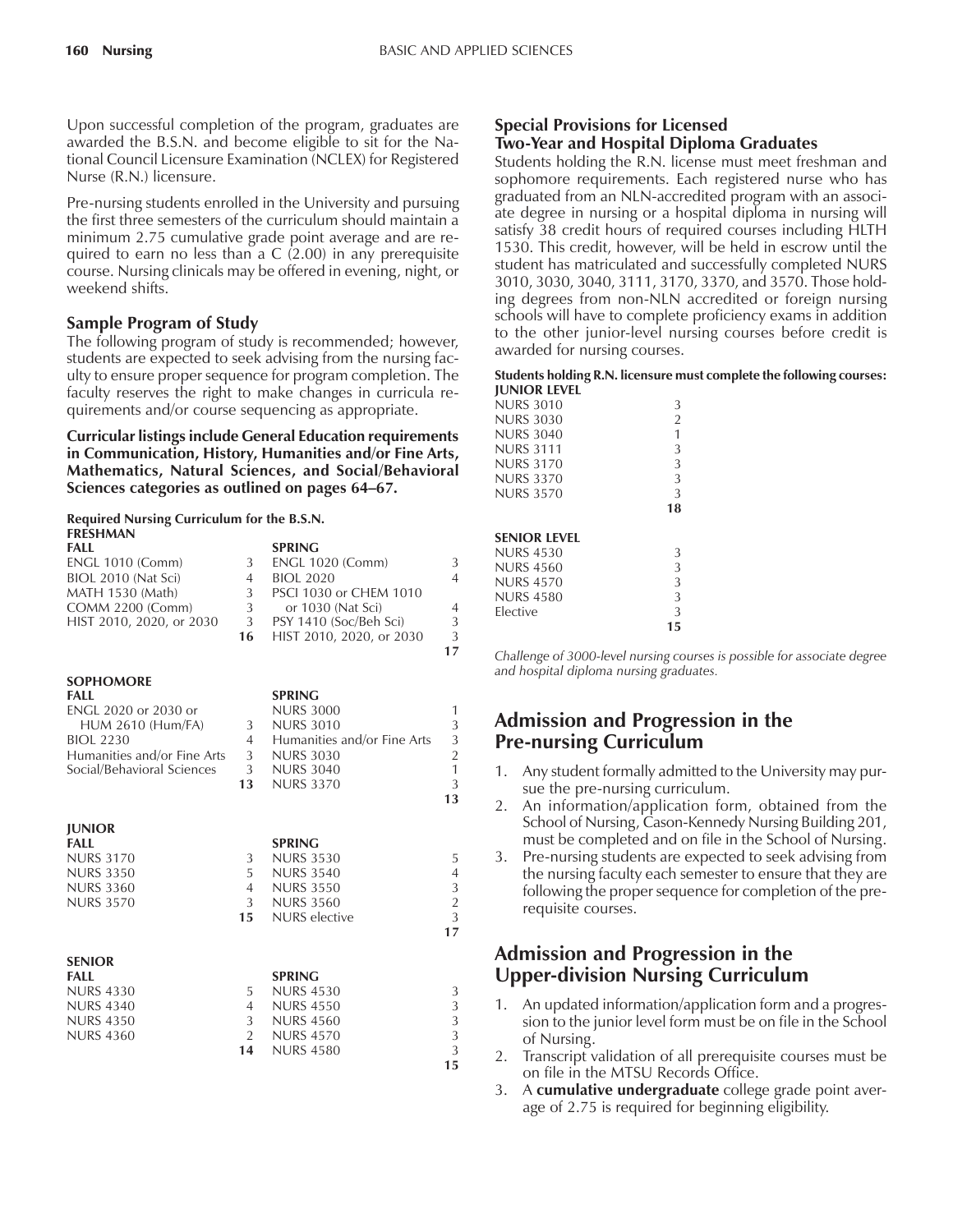Upon successful completion of the program, graduates are awarded the B.S.N. and become eligible to sit for the National Council Licensure Examination (NCLEX) for Registered Nurse (R.N.) licensure.

Pre-nursing students enrolled in the University and pursuing the first three semesters of the curriculum should maintain a minimum 2.75 cumulative grade point average and are required to earn no less than a C (2.00) in any prerequisite course. Nursing clinicals may be offered in evening, night, or weekend shifts.

## **Sample Program of Study**

The following program of study is recommended; however, students are expected to seek advising from the nursing faculty to ensure proper sequence for program completion. The faculty reserves the right to make changes in curricula requirements and/or course sequencing as appropriate.

**Curricular listings include General Education requirements in Communication, History, Humanities and/or Fine Arts, Mathematics, Natural Sciences, and Social/Behavioral Sciences categories as outlined on pages 64–67.** 

#### **Required Nursing Curriculum for the B.S.N. FRESHMAN**

| LINLJLIDUMIN<br>FALL<br>ENGL 1010 (Comm)<br>BIOL 2010 (Nat Sci)<br>MATH 1530 (Math)<br>COMM 2200 (Comm)<br>HIST 2010, 2020, or 2030                                  | 3<br>$\overline{4}$<br>3<br>3<br>3<br>16         | <b>SPRING</b><br><b>ENGL 1020 (Comm)</b><br><b>BIOL 2020</b><br>PSCI 1030 or CHEM 1010<br>or 1030 (Nat Sci)<br>PSY 1410 (Soc/Beh Sci)<br>HIST 2010, 2020, or 2030 | 3<br>$\overline{4}$<br>$\overline{4}$<br>3<br>3<br>17                   |
|----------------------------------------------------------------------------------------------------------------------------------------------------------------------|--------------------------------------------------|-------------------------------------------------------------------------------------------------------------------------------------------------------------------|-------------------------------------------------------------------------|
| <b>SOPHOMORE</b><br><b>FALL</b><br>ENGL 2020 or 2030 or<br><b>HUM 2610 (Hum/FA)</b><br><b>BIOL 2230</b><br>Humanities and/or Fine Arts<br>Social/Behavioral Sciences | 3<br>$\overline{4}$<br>3<br>3<br>13              | <b>SPRING</b><br><b>NURS 3000</b><br><b>NURS 3010</b><br>Humanities and/or Fine Arts<br><b>NURS 3030</b><br><b>NURS 3040</b><br><b>NURS 3370</b>                  | 1<br>3<br>3<br>$\overline{a}$<br>$\mathbf{1}$<br>3<br>13                |
| <b>JUNIOR</b><br><b>FALL</b><br><b>NURS 3170</b><br><b>NURS 3350</b><br><b>NURS 3360</b><br><b>NURS 3570</b>                                                         | 3<br>5<br>$\overline{4}$<br>3 <sup>1</sup><br>15 | <b>SPRING</b><br><b>NURS 3530</b><br><b>NURS 3540</b><br><b>NURS 3550</b><br><b>NURS 3560</b><br><b>NURS</b> elective                                             | 5<br>$\overline{4}$<br>$\begin{array}{c} 3 \\ 2 \\ 3 \end{array}$<br>17 |
| <b>SENIOR</b><br><b>FALL</b><br><b>NURS 4330</b><br><b>NURS 4340</b><br><b>NURS 4350</b><br><b>NURS 4360</b>                                                         | 5<br>$\overline{4}$<br>3<br>$\overline{2}$<br>14 | <b>SPRING</b><br><b>NURS 4530</b><br><b>NURS 4550</b><br><b>NURS 4560</b><br><b>NURS 4570</b><br><b>NURS 4580</b>                                                 | 3<br>3<br>3<br>3<br>$\overline{3}$<br>15                                |

### **Special Provisions for Licensed Two-Year and Hospital Diploma Graduates**

Students holding the R.N. license must meet freshman and sophomore requirements. Each registered nurse who has graduated from an NLN-accredited program with an associate degree in nursing or a hospital diploma in nursing will satisfy 38 credit hours of required courses including HLTH 1530. This credit, however, will be held in escrow until the student has matriculated and successfully completed NURS 3010, 3030, 3040, 3111, 3170, 3370, and 3570. Those holding degrees from non-NLN accredited or foreign nursing schools will have to complete proficiency exams in addition to the other junior-level nursing courses before credit is awarded for nursing courses.

#### **Students holding R.N. licensure must complete the following courses: JUNIOR LEVEL**

|                     | 15             |
|---------------------|----------------|
| <b>Flective</b>     | 3              |
| <b>NURS 4580</b>    | 3              |
| NURS 4570           | 3              |
| <b>NURS 4560</b>    | 3              |
| NURS 4530           | 3              |
| <b>SENIOR LEVEL</b> |                |
|                     | 18             |
| <b>NURS 3570</b>    | 3              |
| NURS 3370           | 3              |
| NURS 3170           | 3              |
| NURS 3111           | 3              |
| NURS 3040           | 1              |
| NURS 3030           | $\overline{2}$ |
| NURS 3010           | 3              |

*Challenge of 3000-level nursing courses is possible for associate degree and hospital diploma nursing graduates.*

# **Admission and Progression in the Pre-nursing Curriculum**

- 1. Any student formally admitted to the University may pursue the pre-nursing curriculum.
- 2. An information/application form, obtained from the School of Nursing, Cason-Kennedy Nursing Building 201, must be completed and on file in the School of Nursing.
- 3. Pre-nursing students are expected to seek advising from the nursing faculty each semester to ensure that they are following the proper sequence for completion of the prerequisite courses.

# **Admission and Progression in the Upper-division Nursing Curriculum**

- 1. An updated information/application form and a progression to the junior level form must be on file in the School of Nursing.
- 2. Transcript validation of all prerequisite courses must be on file in the MTSU Records Office.
- 3. A **cumulative undergraduate** college grade point average of 2.75 is required for beginning eligibility.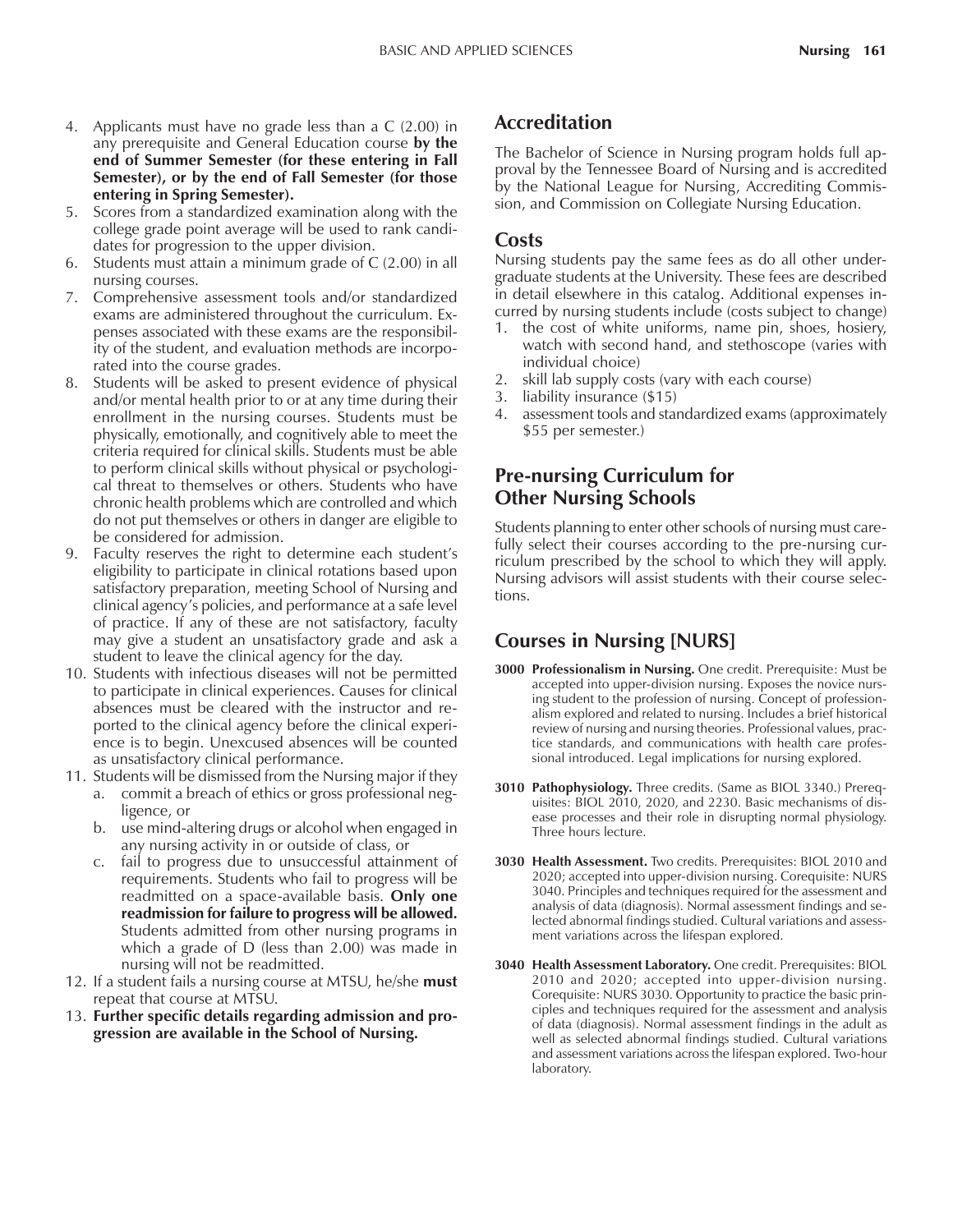- 4. Applicants must have no grade less than a C (2.00) in any prerequisite and General Education course **by the end of Summer Semester (for these entering in Fall Semester), or by the end of Fall Semester (for those entering in Spring Semester).**
- 5. Scores from a standardized examination along with the college grade point average will be used to rank candidates for progression to the upper division.
- 6. Students must attain a minimum grade of C (2.00) in all nursing courses.
- 7. Comprehensive assessment tools and/or standardized exams are administered throughout the curriculum. Expenses associated with these exams are the responsibility of the student, and evaluation methods are incorporated into the course grades.
- 8. Students will be asked to present evidence of physical and/or mental health prior to or at any time during their enrollment in the nursing courses. Students must be physically, emotionally, and cognitively able to meet the criteria required for clinical skills. Students must be able to perform clinical skills without physical or psychological threat to themselves or others. Students who have chronic health problems which are controlled and which do not put themselves or others in danger are eligible to be considered for admission.
- 9. Faculty reserves the right to determine each student's eligibility to participate in clinical rotations based upon satisfactory preparation, meeting School of Nursing and clinical agencyís policies, and performance at a safe level of practice. If any of these are not satisfactory, faculty may give a student an unsatisfactory grade and ask a student to leave the clinical agency for the day.
- 10. Students with infectious diseases will not be permitted to participate in clinical experiences. Causes for clinical absences must be cleared with the instructor and reported to the clinical agency before the clinical experience is to begin. Unexcused absences will be counted as unsatisfactory clinical performance.

11. Students will be dismissed from the Nursing major if they

- a. commit a breach of ethics or gross professional negligence, or
- b. use mind-altering drugs or alcohol when engaged in any nursing activity in or outside of class, or
- c. fail to progress due to unsuccessful attainment of requirements. Students who fail to progress will be readmitted on a space-available basis. **Only one readmission for failure to progress will be allowed.** Students admitted from other nursing programs in which a grade of D (less than 2.00) was made in nursing will not be readmitted.
- 12. If a student fails a nursing course at MTSU, he/she **must** repeat that course at MTSU.
- 13. **Further specific details regarding admission and progression are available in the School of Nursing.**

## **Accreditation**

The Bachelor of Science in Nursing program holds full approval by the Tennessee Board of Nursing and is accredited by the National League for Nursing, Accrediting Commission, and Commission on Collegiate Nursing Education.

## **Costs**

Nursing students pay the same fees as do all other undergraduate students at the University. These fees are described in detail elsewhere in this catalog. Additional expenses incurred by nursing students include (costs subject to change)

- 1. the cost of white uniforms, name pin, shoes, hosiery, watch with second hand, and stethoscope (varies with individual choice)
- 2. skill lab supply costs (vary with each course)
- 3. liability insurance (\$15)
- 4. assessment tools and standardized exams (approximately \$55 per semester.)

## **Pre-nursing Curriculum for Other Nursing Schools**

Students planning to enter other schools of nursing must carefully select their courses according to the pre-nursing curriculum prescribed by the school to which they will apply. Nursing advisors will assist students with their course selections.

# **Courses in Nursing [NURS]**

- **3000 Professionalism in Nursing.** One credit. Prerequisite: Must be accepted into upper-division nursing. Exposes the novice nursing student to the profession of nursing. Concept of professionalism explored and related to nursing. Includes a brief historical review of nursing and nursing theories. Professional values, practice standards, and communications with health care professional introduced. Legal implications for nursing explored.
- **3010 Pathophysiology.** Three credits. (Same as BIOL 3340.) Prerequisites: BIOL 2010, 2020, and 2230. Basic mechanisms of disease processes and their role in disrupting normal physiology. Three hours lecture.
- **3030 Health Assessment.** Two credits. Prerequisites: BIOL 2010 and 2020; accepted into upper-division nursing. Corequisite: NURS 3040. Principles and techniques required for the assessment and analysis of data (diagnosis). Normal assessment findings and selected abnormal findings studied. Cultural variations and assessment variations across the lifespan explored.
- **3040 Health Assessment Laboratory.** One credit. Prerequisites: BIOL 2010 and 2020; accepted into upper-division nursing. Corequisite: NURS 3030. Opportunity to practice the basic principles and techniques required for the assessment and analysis of data (diagnosis). Normal assessment findings in the adult as well as selected abnormal findings studied. Cultural variations and assessment variations across the lifespan explored. Two-hour laboratory.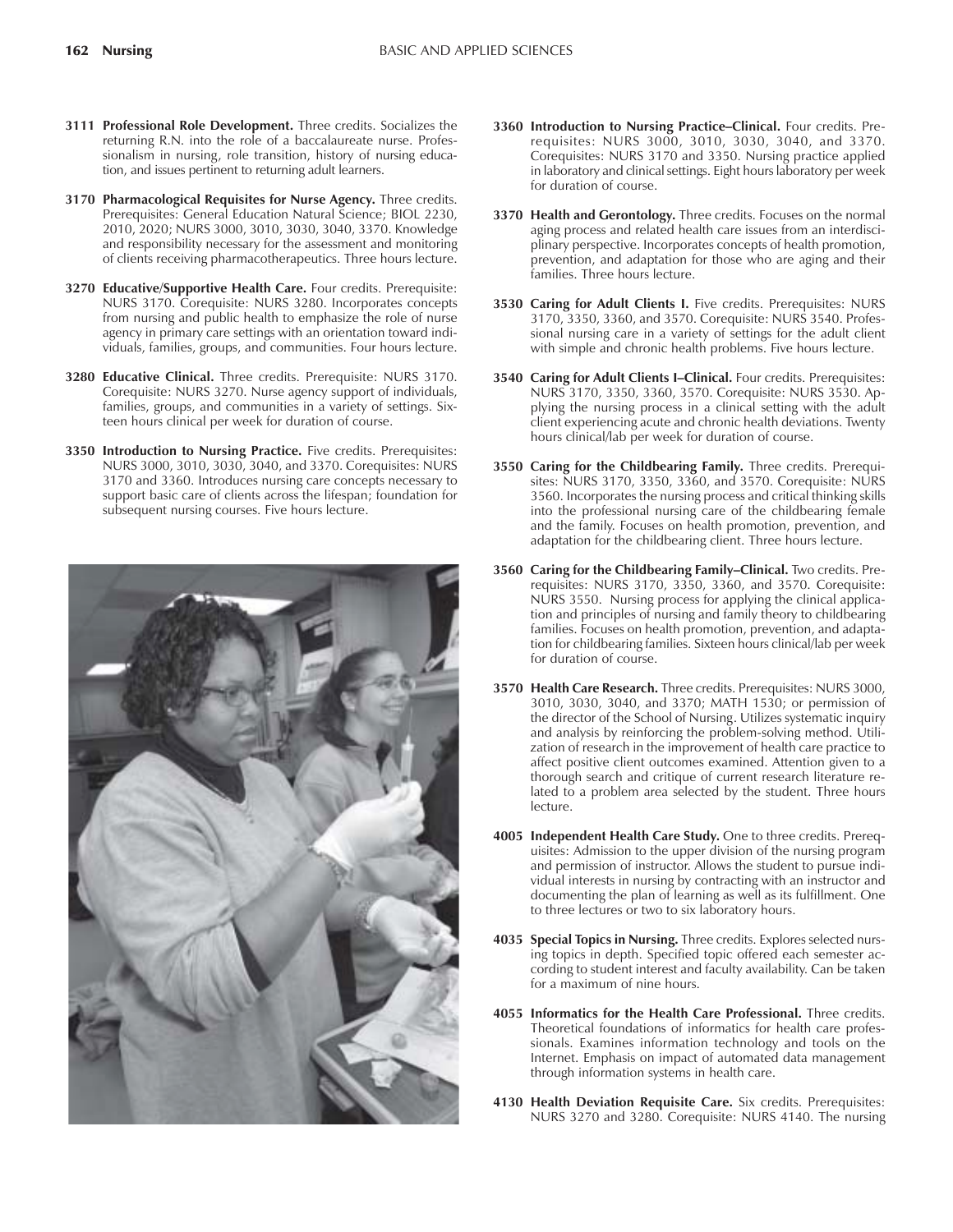- **3111 Professional Role Development.** Three credits. Socializes the returning R.N. into the role of a baccalaureate nurse. Professionalism in nursing, role transition, history of nursing education, and issues pertinent to returning adult learners.
- **3170 Pharmacological Requisites for Nurse Agency.** Three credits. Prerequisites: General Education Natural Science; BIOL 2230, 2010, 2020; NURS 3000, 3010, 3030, 3040, 3370. Knowledge and responsibility necessary for the assessment and monitoring of clients receiving pharmacotherapeutics. Three hours lecture.
- **3270 Educative/Supportive Health Care.** Four credits. Prerequisite: NURS 3170. Corequisite: NURS 3280. Incorporates concepts from nursing and public health to emphasize the role of nurse agency in primary care settings with an orientation toward individuals, families, groups, and communities. Four hours lecture.
- **3280 Educative Clinical.** Three credits. Prerequisite: NURS 3170. Corequisite: NURS 3270. Nurse agency support of individuals, families, groups, and communities in a variety of settings. Sixteen hours clinical per week for duration of course.
- **3350 Introduction to Nursing Practice.** Five credits. Prerequisites: NURS 3000, 3010, 3030, 3040, and 3370. Corequisites: NURS 3170 and 3360. Introduces nursing care concepts necessary to support basic care of clients across the lifespan; foundation for subsequent nursing courses. Five hours lecture.



- 3360 Introduction to Nursing Practice-Clinical. Four credits. Prerequisites: NURS 3000, 3010, 3030, 3040, and 3370. Corequisites: NURS 3170 and 3350. Nursing practice applied in laboratory and clinical settings. Eight hours laboratory per week for duration of course.
- **3370 Health and Gerontology.** Three credits. Focuses on the normal aging process and related health care issues from an interdisciplinary perspective. Incorporates concepts of health promotion, prevention, and adaptation for those who are aging and their families. Three hours lecture.
- 3530 Caring for Adult Clients I. Five credits. Prerequisites: NURS 3170, 3350, 3360, and 3570. Corequisite: NURS 3540. Professional nursing care in a variety of settings for the adult client with simple and chronic health problems. Five hours lecture.
- **3540 Caring for Adult Clients I-Clinical.** Four credits. Prerequisites: NURS 3170, 3350, 3360, 3570. Corequisite: NURS 3530. Applying the nursing process in a clinical setting with the adult client experiencing acute and chronic health deviations. Twenty hours clinical/lab per week for duration of course.
- **3550 Caring for the Childbearing Family.** Three credits. Prerequisites: NURS 3170, 3350, 3360, and 3570. Corequisite: NURS 3560. Incorporates the nursing process and critical thinking skills into the professional nursing care of the childbearing female and the family. Focuses on health promotion, prevention, and adaptation for the childbearing client. Three hours lecture.
- **3560 Caring for the Childbearing Family–Clinical.** Two credits. Prerequisites: NURS 3170, 3350, 3360, and 3570. Corequisite: NURS 3550. Nursing process for applying the clinical application and principles of nursing and family theory to childbearing families. Focuses on health promotion, prevention, and adaptation for childbearing families. Sixteen hours clinical/lab per week for duration of course.
- **3570 Health Care Research.** Three credits. Prerequisites: NURS 3000, 3010, 3030, 3040, and 3370; MATH 1530; or permission of the director of the School of Nursing. Utilizes systematic inquiry and analysis by reinforcing the problem-solving method. Utilization of research in the improvement of health care practice to affect positive client outcomes examined. Attention given to a thorough search and critique of current research literature related to a problem area selected by the student. Three hours lecture.
- **4005 Independent Health Care Study.** One to three credits. Prerequisites: Admission to the upper division of the nursing program and permission of instructor. Allows the student to pursue individual interests in nursing by contracting with an instructor and documenting the plan of learning as well as its fulfillment. One to three lectures or two to six laboratory hours.
- **4035 Special Topics in Nursing.** Three credits. Explores selected nursing topics in depth. Specified topic offered each semester according to student interest and faculty availability. Can be taken for a maximum of nine hours.
- **4055 Informatics for the Health Care Professional.** Three credits. Theoretical foundations of informatics for health care professionals. Examines information technology and tools on the Internet. Emphasis on impact of automated data management through information systems in health care.
- **4130 Health Deviation Requisite Care.** Six credits. Prerequisites: NURS 3270 and 3280. Corequisite: NURS 4140. The nursing